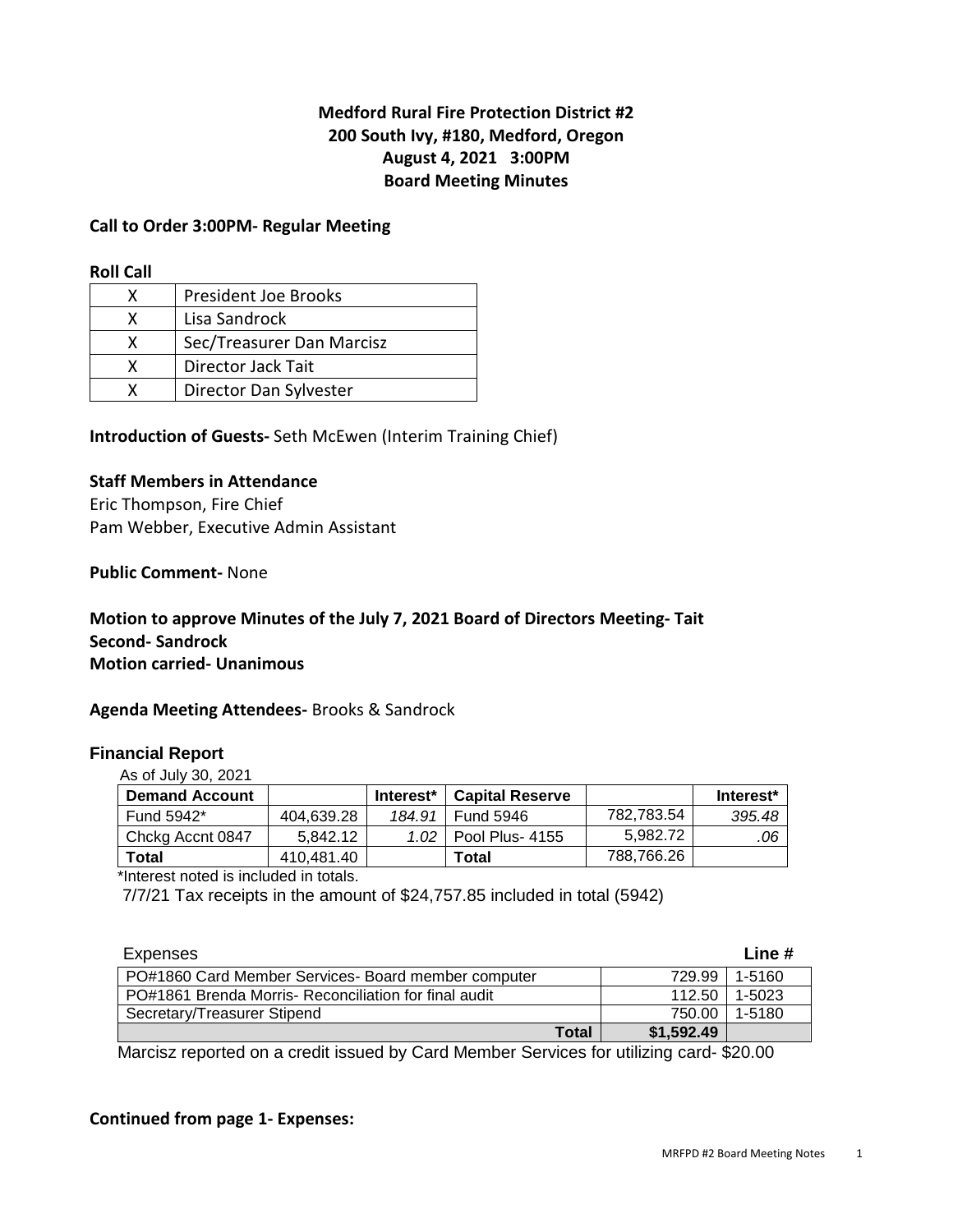# **Medford Rural Fire Protection District #2 200 South Ivy, #180, Medford, Oregon August 4, 2021 3:00PM Board Meeting Minutes**

#### **Call to Order 3:00PM- Regular Meeting**

#### **Roll Call**

| x | President Joe Brooks      |
|---|---------------------------|
|   | Lisa Sandrock             |
| x | Sec/Treasurer Dan Marcisz |
| x | Director Jack Tait        |
|   | Director Dan Sylvester    |

**Introduction of Guests-** Seth McEwen (Interim Training Chief)

#### **Staff Members in Attendance**

Eric Thompson, Fire Chief Pam Webber, Executive Admin Assistant

**Public Comment-** None

## **Motion to approve Minutes of the July 7, 2021 Board of Directors Meeting- Tait Second- Sandrock Motion carried- Unanimous**

#### **Agenda Meeting Attendees-** Brooks & Sandrock

#### **Financial Report**

As of July 30, 2021

| <b>Demand Account</b> |            | Interest <sup>*</sup> | <b>Capital Reserve</b> |            | Interest* |
|-----------------------|------------|-----------------------|------------------------|------------|-----------|
| Fund 5942*            | 404.639.28 | 184.91                | <b>Fund 5946</b>       | 782.783.54 | 395.48    |
| Chckg Accnt 0847      | 5.842.12   | 1.02                  | Pool Plus- 4155        | 5.982.72   | .06       |
| Total                 | 410.481.40 |                       | Total                  | 788,766.26 |           |

\*Interest noted is included in totals.

7/7/21 Tax receipts in the amount of \$24,757.85 included in total (5942)

| Expenses                                             |            | Line # |
|------------------------------------------------------|------------|--------|
| PO#1860 Card Member Services- Board member computer  | 729.99     | 1-5160 |
| PO#1861 Brenda Morris-Reconciliation for final audit | 112.50     | 1-5023 |
| Secretary/Treasurer Stipend                          | 750.00     | 1-5180 |
| Total                                                | \$1,592.49 |        |

Marcisz reported on a credit issued by Card Member Services for utilizing card- \$20.00

# **Continued from page 1- Expenses:**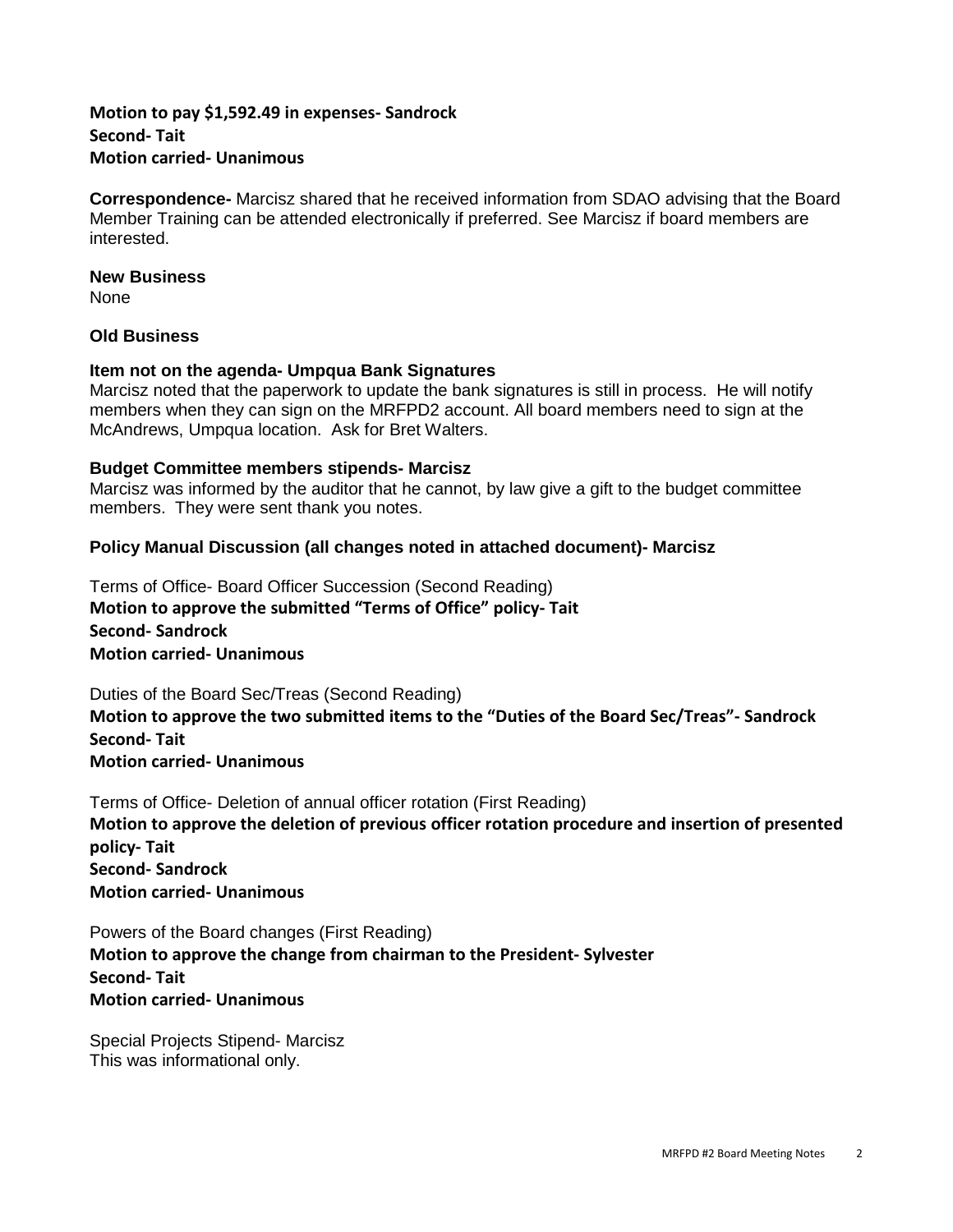## **Motion to pay \$1,592.49 in expenses- Sandrock Second- Tait Motion carried- Unanimous**

**Correspondence-** Marcisz shared that he received information from SDAO advising that the Board Member Training can be attended electronically if preferred. See Marcisz if board members are interested.

#### **New Business**

None

## **Old Business**

#### **Item not on the agenda- Umpqua Bank Signatures**

Marcisz noted that the paperwork to update the bank signatures is still in process. He will notify members when they can sign on the MRFPD2 account. All board members need to sign at the McAndrews, Umpqua location. Ask for Bret Walters.

## **Budget Committee members stipends- Marcisz**

Marcisz was informed by the auditor that he cannot, by law give a gift to the budget committee members. They were sent thank you notes.

## **Policy Manual Discussion (all changes noted in attached document)- Marcisz**

Terms of Office- Board Officer Succession (Second Reading) **Motion to approve the submitted "Terms of Office" policy- Tait Second- Sandrock Motion carried- Unanimous** 

Duties of the Board Sec/Treas (Second Reading) **Motion to approve the two submitted items to the "Duties of the Board Sec/Treas"- Sandrock Second- Tait Motion carried- Unanimous** 

Terms of Office- Deletion of annual officer rotation (First Reading) **Motion to approve the deletion of previous officer rotation procedure and insertion of presented policy- Tait Second- Sandrock Motion carried- Unanimous** 

Powers of the Board changes (First Reading) **Motion to approve the change from chairman to the President- Sylvester Second- Tait Motion carried- Unanimous** 

Special Projects Stipend- Marcisz This was informational only.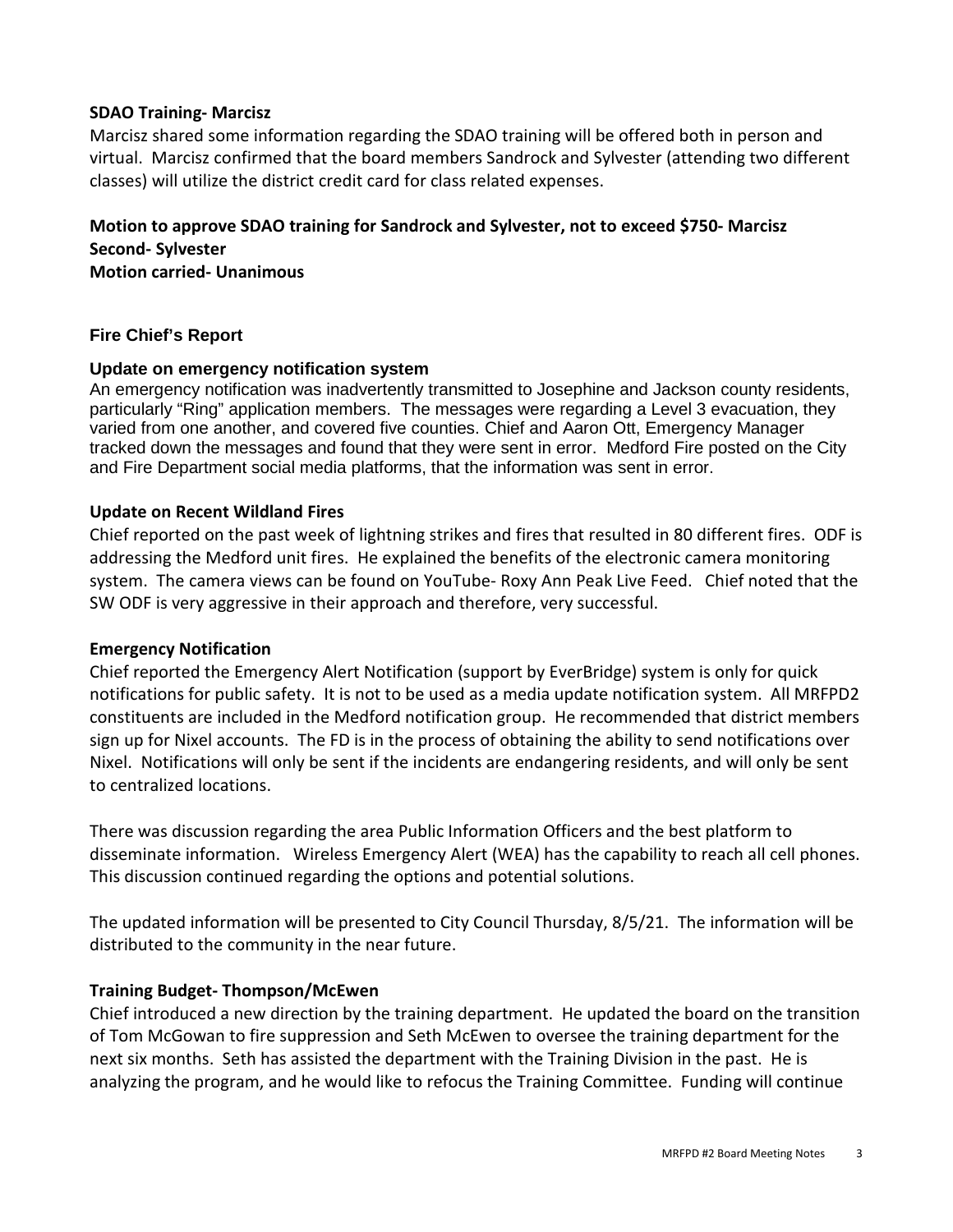## **SDAO Training- Marcisz**

Marcisz shared some information regarding the SDAO training will be offered both in person and virtual. Marcisz confirmed that the board members Sandrock and Sylvester (attending two different classes) will utilize the district credit card for class related expenses.

# **Motion to approve SDAO training for Sandrock and Sylvester, not to exceed \$750- Marcisz Second- Sylvester**

**Motion carried- Unanimous** 

## **Fire Chief's Report**

#### **Update on emergency notification system**

An emergency notification was inadvertently transmitted to Josephine and Jackson county residents, particularly "Ring" application members. The messages were regarding a Level 3 evacuation, they varied from one another, and covered five counties. Chief and Aaron Ott, Emergency Manager tracked down the messages and found that they were sent in error. Medford Fire posted on the City and Fire Department social media platforms, that the information was sent in error.

#### **Update on Recent Wildland Fires**

Chief reported on the past week of lightning strikes and fires that resulted in 80 different fires. ODF is addressing the Medford unit fires. He explained the benefits of the electronic camera monitoring system. The camera views can be found on YouTube- Roxy Ann Peak Live Feed. Chief noted that the SW ODF is very aggressive in their approach and therefore, very successful.

#### **Emergency Notification**

Chief reported the Emergency Alert Notification (support by EverBridge) system is only for quick notifications for public safety. It is not to be used as a media update notification system. All MRFPD2 constituents are included in the Medford notification group. He recommended that district members sign up for Nixel accounts. The FD is in the process of obtaining the ability to send notifications over Nixel. Notifications will only be sent if the incidents are endangering residents, and will only be sent to centralized locations.

There was discussion regarding the area Public Information Officers and the best platform to disseminate information. Wireless Emergency Alert (WEA) has the capability to reach all cell phones. This discussion continued regarding the options and potential solutions.

The updated information will be presented to City Council Thursday, 8/5/21. The information will be distributed to the community in the near future.

#### **Training Budget- Thompson/McEwen**

Chief introduced a new direction by the training department. He updated the board on the transition of Tom McGowan to fire suppression and Seth McEwen to oversee the training department for the next six months. Seth has assisted the department with the Training Division in the past. He is analyzing the program, and he would like to refocus the Training Committee. Funding will continue